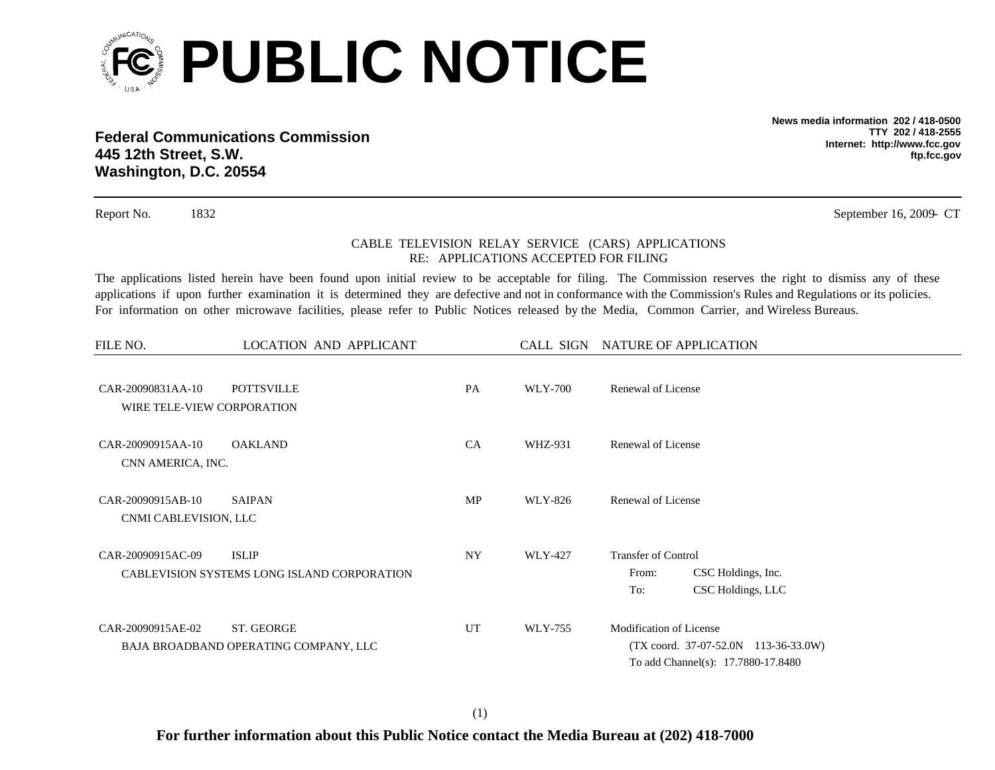

**Federal Communications Commission445 12th Street, S.W. Washington, D.C. 20554**

**News media information 202 / 418-0500TTY 202 / 418-2555Internet: http://www.fcc.gov ftp.fcc.gov**

Report No. 1832 September 16, 2009 - CT

## CABLE TELEVISION RELAY SERVICE (CARS) APPLICATIONS RE: APPLICATIONS ACCEPTED FOR FILING

The applications listed herein have been found upon initial review to be acceptable for filing. The Commission reserves the right to dismiss any of these applications if upon further examination it is determined they are defective and not in conformance with the Commission's Rules and Regulations or its policies. For information on other microwave facilities, please refer to Public Notices released by the Media, Common Carrier, and Wireless Bureaus.

| FILE NO.                                        | LOCATION AND APPLICANT                                      |           |                | CALL SIGN NATURE OF APPLICATION                                                                                  |
|-------------------------------------------------|-------------------------------------------------------------|-----------|----------------|------------------------------------------------------------------------------------------------------------------|
| CAR-20090831AA-10<br>WIRE TELE-VIEW CORPORATION | <b>POTTSVILLE</b>                                           | PA        | <b>WLY-700</b> | Renewal of License                                                                                               |
| CAR-20090915AA-10<br>CNN AMERICA, INC.          | <b>OAKLAND</b>                                              | <b>CA</b> | WHZ-931        | Renewal of License                                                                                               |
| CAR-20090915AB-10<br>CNMI CABLEVISION, LLC      | <b>SAIPAN</b>                                               | MP        | WLY-826        | Renewal of License                                                                                               |
| CAR-20090915AC-09                               | <b>ISLIP</b><br>CABLEVISION SYSTEMS LONG ISLAND CORPORATION | <b>NY</b> | WLY-427        | <b>Transfer of Control</b><br>CSC Holdings, Inc.<br>From:<br>CSC Holdings, LLC<br>To:                            |
| CAR-20090915AE-02                               | ST. GEORGE<br>BAJA BROADBAND OPERATING COMPANY, LLC         | <b>UT</b> | WLY-755        | Modification of License<br>$(TX \text{ coord. } 37-07-52.0N$ 113-36-33.0W)<br>To add Channel(s): 17.7880-17.8480 |